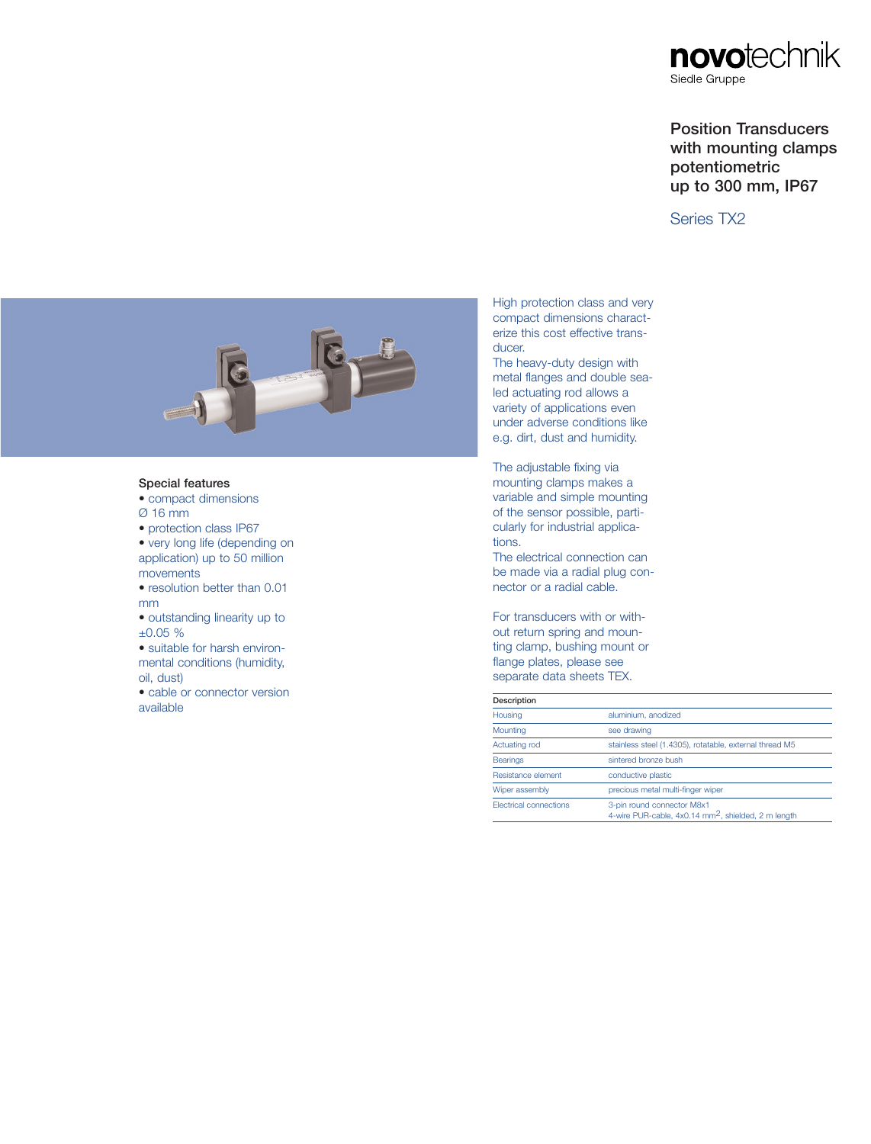

# Position Transducers with mounting clamps potentiometric up to 300 mm, IP67

## Series TX2



### Special features

- compact dimensions Ø 16 mm
- protection class IP67

• very long life (depending on application) up to 50 million movements

- resolution better than 0.01 mm
- outstanding linearity up to ±0.05 %

• suitable for harsh environmental conditions (humidity, oil, dust)

• cable or connector version<br>available available **Description** 

High protection class and very compact dimensions characterize this cost effective transducer.

The heavy-duty design with metal flanges and double sealed actuating rod allows a variety of applications even under adverse conditions like e.g. dirt, dust and humidity.

The adjustable fixing via mounting clamps makes a variable and simple mounting of the sensor possible, particularly for industrial applications.

The electrical connection can be made via a radial plug connector or a radial cable.

For transducers with or without return spring and mounting clamp, bushing mount or flange plates, please see separate data sheets TEX.

| Description |
|-------------|
|-------------|

| Description            |                                                                                               |
|------------------------|-----------------------------------------------------------------------------------------------|
| Housing                | aluminium, anodized                                                                           |
| Mounting               | see drawing                                                                                   |
| Actuating rod          | stainless steel (1.4305), rotatable, external thread M5                                       |
| <b>Bearings</b>        | sintered bronze bush                                                                          |
| Resistance element     | conductive plastic                                                                            |
| Wiper assembly         | precious metal multi-finger wiper                                                             |
| Electrical connections | 3-pin round connector M8x1<br>4-wire PUR-cable, 4x0.14 mm <sup>2</sup> , shielded, 2 m length |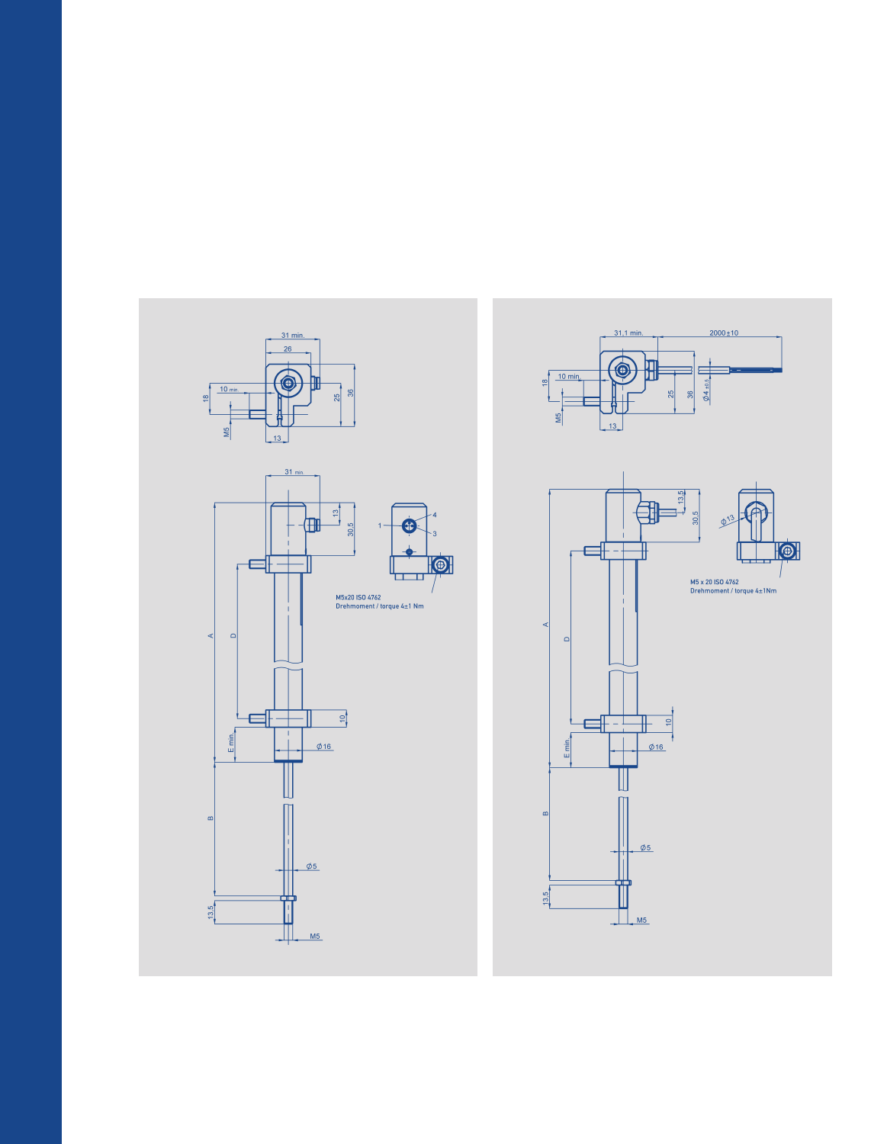

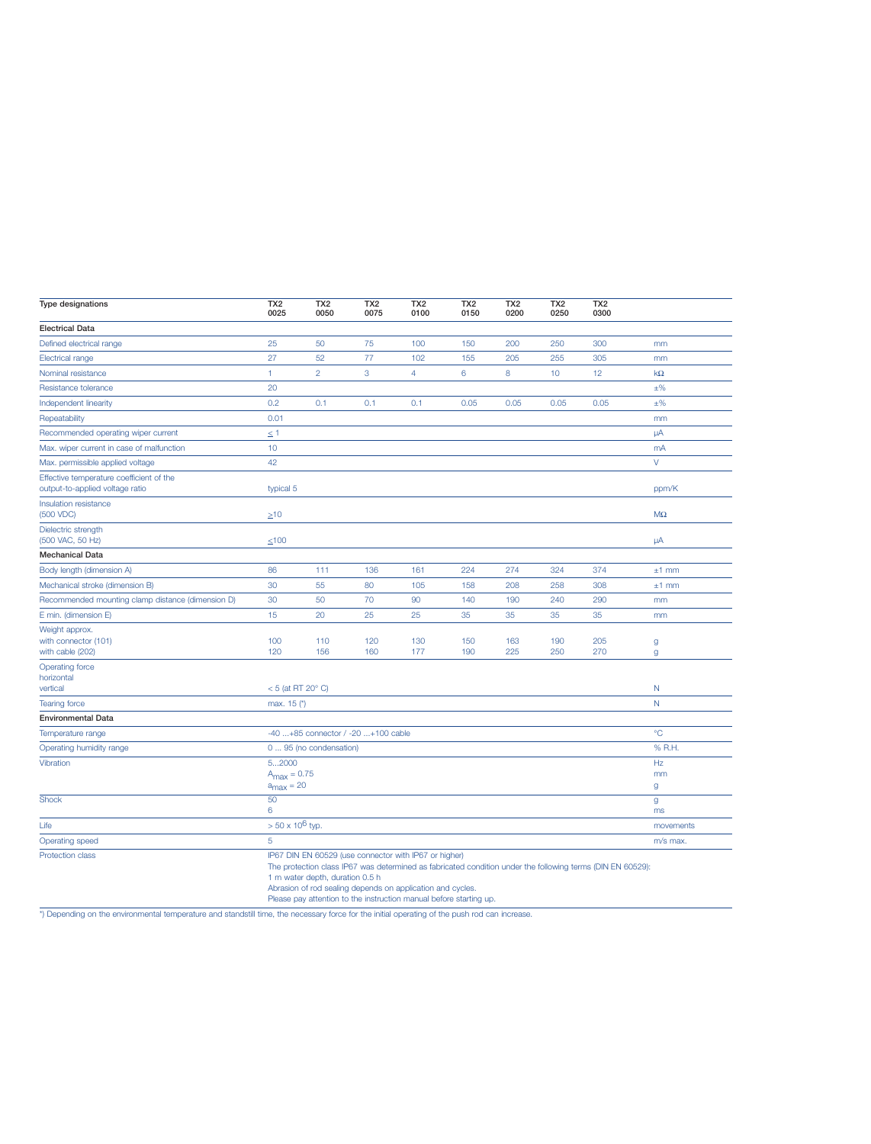| Type designations                                                           | TX <sub>2</sub><br>0025                                                                                                                                                                                                                                                                                                                    | TX <sub>2</sub><br>0050 | TX <sub>2</sub><br>0075 | TX <sub>2</sub><br>0100 | TX <sub>2</sub><br>0150 | TX <sub>2</sub><br>0200 | TX <sub>2</sub><br>0250 | TX <sub>2</sub><br>0300 |                    |
|-----------------------------------------------------------------------------|--------------------------------------------------------------------------------------------------------------------------------------------------------------------------------------------------------------------------------------------------------------------------------------------------------------------------------------------|-------------------------|-------------------------|-------------------------|-------------------------|-------------------------|-------------------------|-------------------------|--------------------|
| <b>Electrical Data</b>                                                      |                                                                                                                                                                                                                                                                                                                                            |                         |                         |                         |                         |                         |                         |                         |                    |
| Defined electrical range                                                    | 25                                                                                                                                                                                                                                                                                                                                         | 50                      | 75                      | 100                     | 150                     | 200                     | 250                     | 300                     | mm                 |
| <b>Electrical range</b>                                                     | 27                                                                                                                                                                                                                                                                                                                                         | 52                      | 77                      | 102                     | 155                     | 205                     | 255                     | 305                     | mm                 |
| Nominal resistance                                                          | $\mathbf{1}$                                                                                                                                                                                                                                                                                                                               | $\overline{2}$          | 3                       | $\overline{4}$          | 6                       | 8                       | 10                      | 12                      | $k\Omega$          |
| Resistance tolerance                                                        | 20                                                                                                                                                                                                                                                                                                                                         |                         |                         |                         |                         |                         |                         |                         | $\pm\%$            |
| Independent linearity                                                       | 0.2                                                                                                                                                                                                                                                                                                                                        | 0.1                     | 0.1                     | 0.1                     | 0.05                    | 0.05                    | 0.05                    | 0.05                    | $\pm\%$            |
| Repeatability                                                               | 0.01                                                                                                                                                                                                                                                                                                                                       |                         |                         |                         |                         |                         |                         |                         | mm                 |
| Recommended operating wiper current                                         | $\leq$ 1                                                                                                                                                                                                                                                                                                                                   |                         |                         |                         |                         |                         |                         |                         | $\mu$ A            |
| Max. wiper current in case of malfunction                                   | 10                                                                                                                                                                                                                                                                                                                                         |                         |                         |                         |                         |                         |                         |                         | mA                 |
| Max. permissible applied voltage                                            | 42                                                                                                                                                                                                                                                                                                                                         |                         |                         |                         |                         |                         |                         |                         | $\vee$             |
| Effective temperature coefficient of the<br>output-to-applied voltage ratio | typical 5                                                                                                                                                                                                                                                                                                                                  |                         |                         |                         |                         |                         |                         |                         | ppm/K              |
| Insulation resistance<br>(500 VDC)                                          | $\geq 10$                                                                                                                                                                                                                                                                                                                                  |                         |                         |                         |                         |                         |                         |                         | $\mathsf{M}\Omega$ |
| Dielectric strength<br>(500 VAC, 50 Hz)                                     | $≤100$                                                                                                                                                                                                                                                                                                                                     |                         |                         |                         |                         |                         |                         |                         | $\mu$ A            |
| <b>Mechanical Data</b>                                                      |                                                                                                                                                                                                                                                                                                                                            |                         |                         |                         |                         |                         |                         |                         |                    |
| Body length (dimension A)                                                   | 86                                                                                                                                                                                                                                                                                                                                         | 111                     | 136                     | 161                     | 224                     | 274                     | 324                     | 374                     | $±1$ mm            |
| Mechanical stroke (dimension B)                                             | 30                                                                                                                                                                                                                                                                                                                                         | 55                      | 80                      | 105                     | 158                     | 208                     | 258                     | 308                     | $±1$ mm            |
| Recommended mounting clamp distance (dimension D)                           | 30                                                                                                                                                                                                                                                                                                                                         | 50                      | 70                      | 90                      | 140                     | 190                     | 240                     | 290                     | mm                 |
| E min. (dimension E)                                                        | 15                                                                                                                                                                                                                                                                                                                                         | 20                      | 25                      | 25                      | 35                      | 35                      | 35                      | 35                      | mm                 |
| Weight approx.<br>with connector (101)<br>with cable (202)                  | 100<br>120                                                                                                                                                                                                                                                                                                                                 | 110<br>156              | 120<br>160              | 130<br>177              | 150<br>190              | 163<br>225              | 190<br>250              | 205<br>270              | $\mathsf{g}$<br>g  |
| <b>Operating force</b><br>horizontal<br>vertical                            | $<$ 5 (at RT 20 $^{\circ}$ C)                                                                                                                                                                                                                                                                                                              |                         |                         |                         |                         |                         |                         |                         | N                  |
| <b>Tearing force</b>                                                        | max. 15 (*)                                                                                                                                                                                                                                                                                                                                |                         |                         |                         |                         |                         |                         |                         | $\mathsf{N}$       |
| <b>Environmental Data</b>                                                   |                                                                                                                                                                                                                                                                                                                                            |                         |                         |                         |                         |                         |                         |                         |                    |
| Temperature range                                                           | -40 +85 connector / -20 +100 cable                                                                                                                                                                                                                                                                                                         |                         |                         |                         |                         |                         |                         |                         | $^{\circ}C$        |
| Operating humidity range                                                    | 0  95 (no condensation)                                                                                                                                                                                                                                                                                                                    |                         |                         |                         |                         |                         |                         |                         | % R.H.             |
| Vibration                                                                   | 52000<br>$A_{\text{max}} = 0.75$<br>$a_{\text{max}} = 20$                                                                                                                                                                                                                                                                                  |                         |                         |                         |                         |                         |                         | Hz<br>mm<br>g           |                    |
| <b>Shock</b>                                                                | 50<br>6                                                                                                                                                                                                                                                                                                                                    |                         |                         |                         |                         |                         |                         |                         | $\mathsf g$<br>ms  |
| Life                                                                        | $> 50 \times 10^6$ typ.                                                                                                                                                                                                                                                                                                                    |                         |                         |                         |                         |                         |                         |                         | movements          |
| Operating speed                                                             | 5                                                                                                                                                                                                                                                                                                                                          |                         |                         |                         |                         |                         |                         |                         | m/s max.           |
| <b>Protection class</b>                                                     | IP67 DIN EN 60529 (use connector with IP67 or higher)<br>The protection class IP67 was determined as fabricated condition under the following terms (DIN EN 60529):<br>1 m water depth, duration 0.5 h<br>Abrasion of rod sealing depends on application and cycles.<br>Please pay attention to the instruction manual before starting up. |                         |                         |                         |                         |                         |                         |                         |                    |

\*) Depending on the environmental temperature and standstill time, the necessary force for the initial operating of the push rod can increase.